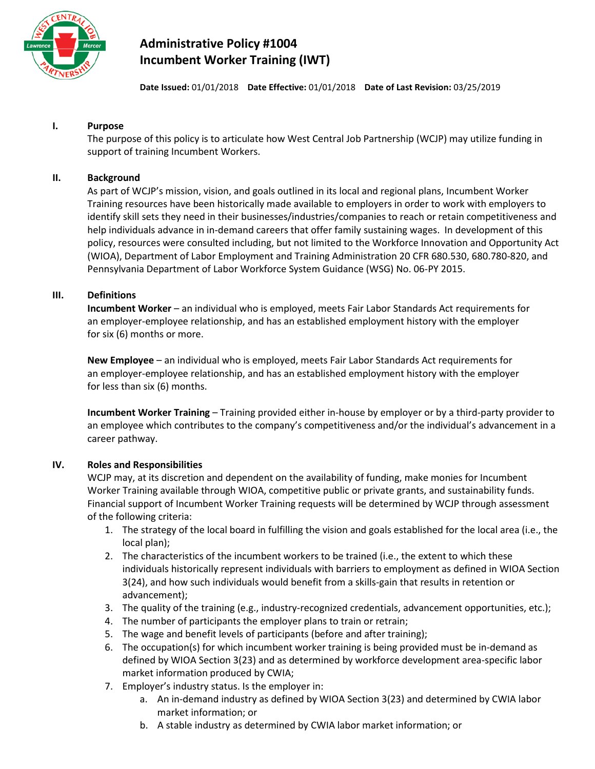

# **Administrative Policy #1004 Incumbent Worker Training (IWT)**

**Date Issued:** 01/01/2018 **Date Effective:** 01/01/2018 **Date of Last Revision:** 03/25/2019

## **I. Purpose**

The purpose of this policy is to articulate how West Central Job Partnership (WCJP) may utilize funding in support of training Incumbent Workers.

# **II. Background**

As part of WCJP's mission, vision, and goals outlined in its local and regional plans, Incumbent Worker Training resources have been historically made available to employers in order to work with employers to identify skill sets they need in their businesses/industries/companies to reach or retain competitiveness and help individuals advance in in-demand careers that offer family sustaining wages. In development of this policy, resources were consulted including, but not limited to the Workforce Innovation and Opportunity Act (WIOA), Department of Labor Employment and Training Administration 20 CFR 680.530, 680.780-820, and Pennsylvania Department of Labor Workforce System Guidance (WSG) No. 06-PY 2015.

## **III. Definitions**

**Incumbent Worker** – an individual who is employed, meets Fair Labor Standards Act requirements for an employer-employee relationship, and has an established employment history with the employer for six (6) months or more.

**New Employee** – an individual who is employed, meets Fair Labor Standards Act requirements for an employer-employee relationship, and has an established employment history with the employer for less than six (6) months.

**Incumbent Worker Training** – Training provided either in-house by employer or by a third-party provider to an employee which contributes to the company's competitiveness and/or the individual's advancement in a career pathway.

#### **IV. Roles and Responsibilities**

WCJP may, at its discretion and dependent on the availability of funding, make monies for Incumbent Worker Training available through WIOA, competitive public or private grants, and sustainability funds. Financial support of Incumbent Worker Training requests will be determined by WCJP through assessment of the following criteria:

- 1. The strategy of the local board in fulfilling the vision and goals established for the local area (i.e., the local plan);
- 2. The characteristics of the incumbent workers to be trained (i.e., the extent to which these individuals historically represent individuals with barriers to employment as defined in WIOA Section 3(24), and how such individuals would benefit from a skills-gain that results in retention or advancement);
- 3. The quality of the training (e.g., industry-recognized credentials, advancement opportunities, etc.);
- 4. The number of participants the employer plans to train or retrain;
- 5. The wage and benefit levels of participants (before and after training);
- 6. The occupation(s) for which incumbent worker training is being provided must be in-demand as defined by WIOA Section 3(23) and as determined by workforce development area-specific labor market information produced by CWIA;
- 7. Employer's industry status. Is the employer in:
	- a. An in-demand industry as defined by WIOA Section 3(23) and determined by CWIA labor market information; or
	- b. A stable industry as determined by CWIA labor market information; or